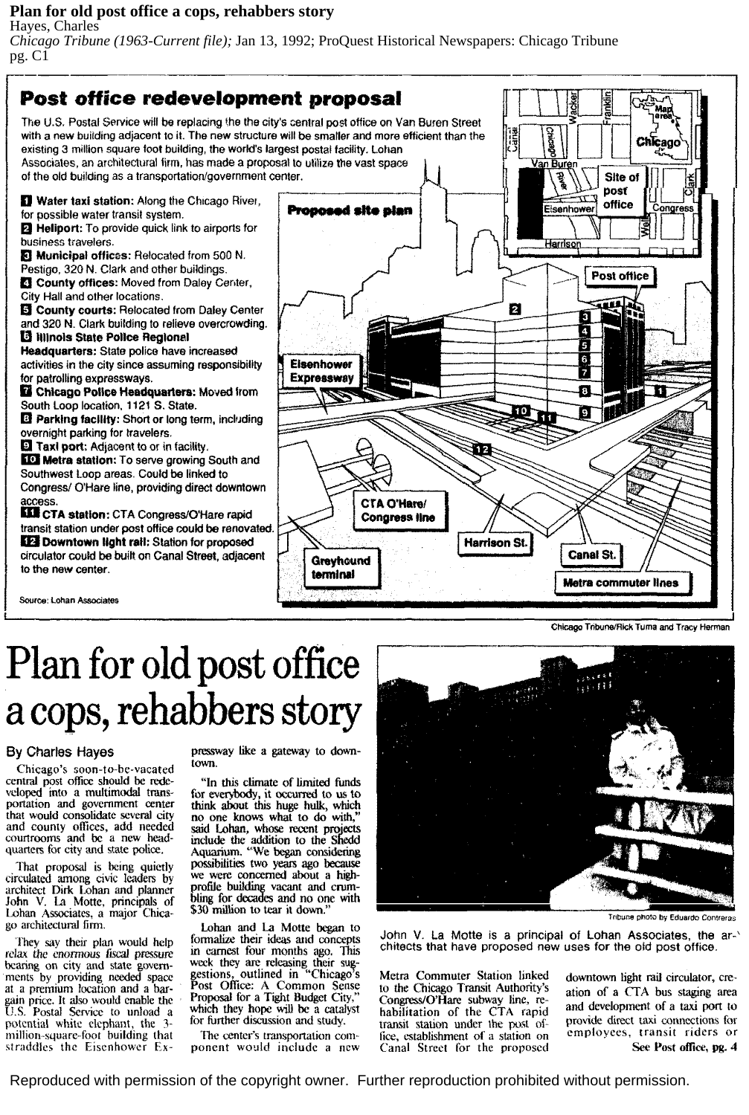## **Plan for old post office a cops, rehabbers story** Hayes, Charles

*Chicago Tribune (1963-Current file);* Jan 13, 1992; ProQuest Historical Newspapers: Chicago Tribune pg. C1



Chicago Tribune/Rick Tuma and Tracy Herman

# **Plan for old post office**  a cops, rehabbers story

## By Charles Hayes

Chicago's soon-to-be-vacated central post office should be redeportation and government center that would consolidate several city and county offices, add needed courtrooms and be a new headquarters for city and state police.

That proposal is being quietly circulated among civic leaders by architect Dirk Lohan and planner John V. La Motte, principals of Lohan Associates, a major Chicago architectural firm.

They say their plan would help relax the enormous fiscal pressure bearing on city and state govern ments by providing needed space at a premium location and a bargain price. It also would enable the<br>U.S. Postal Service to unload a potential white elephant, the 3million-square-foot building that straddles the Eisenhower Expressway like a gateway to downtown.

"In this climate of limited funds think about this huge hulk, which no one knows what to do with," said Lohan, whose recent projects include the addition to the Shedd Aquarium. "We began considering possibilities two years ago because we were concerned about a highprofile building vacant and crum- bling for decades and no one with \$30 million to tear it down.

Lohan and La Motte began to fonnalize their ideas and concepts in earnest four months ago. This week they are releasing their suggestions, outlined in "Chicago's<br>Post Office: A Common Sense<br>Proposal for a Tight Budget City," which they hope will be a catalyst for further discussion and study.

The center's transportation com-<br>ponent would include a new



Tribune photo by Eduardo Contreras

John V. La Motte is a principal of Lohan Associates, the ar-' chitects that have proposed new uses for the old post office.

Metra Commuter Station linked<br>to the Chicago Transit Authority's<br>Congress/O'Hare subway line, rehabilitation of the CTA rapid transit station under the post of-<br>fice, establishment of a station on Canal Street for the proposed

downtown light rail circulator, creation of a CTA bus staging area and development of a taxi port to provide direct taxi connections for employees, transit riders or See Post office, pg. 4

Reproduced with permission of the copyright owner. Further reproduction prohibited without permission.